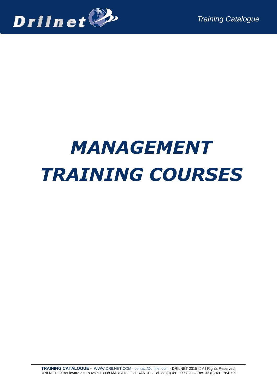

# *MANAGEMENT TRAINING COURSES*

**TRAINING CATALOGUE** - [WWW.DRILNET.COM](http://www.drilnet.com/) - [contact@drilnet.com](mailto:contact@drilnet.com) - DRILNET 2015 © All Rights Reserved. DRILNET : 9 Boulevard de Louvain 13008 MARSEILLE - FRANCE - Tel. 33 (0) 491 177 820 – Fax. 33 (0) 491 784 729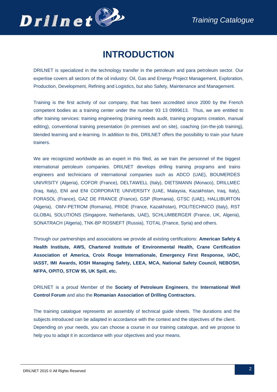

## **INTRODUCTION**

DRILNET is specialized in the technology transfer in the petroleum and para petroleum sector. Our expertise covers all sectors of the oil industry: Oil, Gas and Energy Project Management, Exploration, Production, Development, Refining and Logistics, but also Safety, Maintenance and Management.

Training is the first activity of our company, that has been accredited since 2000 by the French competent bodies as a training center under the number 93 13 0999613. Thus, we are entitled to offer training services: training engineering (training needs audit, training programs creation, manual editing), conventional training presentation (in premises and on site), coaching (on-the-job training), blended learning and e-learning. In addition to this, DRILNET offers the possibility to train your future trainers.

We are recognized worldwide as an expert in this filed, as we train the personnel of the biggest international petroleum companies. DRILNET develops drilling training programs and trains engineers and technicians of international companies such as ADCO (UAE), BOUMERDES UNIVRSITY (Algeria), COFOR (France), DELTAWELL (Italy), DIETSMANN (Monaco), DRILLMEC (Iraq, Italy), ENI and ENI CORPORATE UNIVERSITY (UAE, Malaysia, Kazakhstan, Iraq, Italy), FORASOL (France), GAZ DE FRANCE (France), GSP (Romania), GTSC (UAE), HALLIBURTON (Algeria), OMV-PETROM (Romania), PRIDE (France, Kazakhstan), POLITECHNICO (Italy), RST GLOBAL SOLUTIONS (Singapore, Netherlands, UAE), SCHLUMBERGER (France, UK, Algeria), SONATRACH (Algeria), TNK-BP ROSNEFT (Russia), TOTAL (France, Syria) and others.

Through our partnerships and associations we provide all existing certifications: **American Safety & Health Institute, AWS, Chartered Institute of Environmental Health, Crane Certification Association of America, Croix Rouge Internationale, Emergency First Response, IADC, IASST, IMI Awards, IOSH Managing Safety, LEEA, MCA, National Safety Council, NEBOSH, NFPA, OPITO, STCW 95, UK Spill, etc.**

DRILNET is a proud Member of the **Society of Petroleum Engineers**, the **International Well Control Forum** and also the **Romanian Association of Drilling Contractors.**

The training catalogue represents an assembly of technical guide sheets. The durations and the subjects introduced can be adapted in accordance with the context and the objectives of the client. Depending on your needs, you can choose a course in our training catalogue, and we propose to help you to adapt it in accordance with your objectives and your means.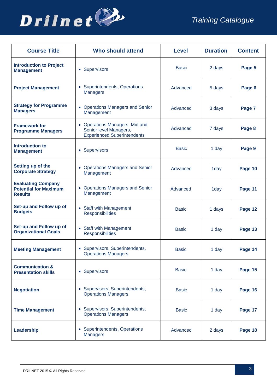

| <b>Course Title</b>                                                         | <b>Who should attend</b>                                                                       | <b>Level</b> | <b>Duration</b> | <b>Content</b> |
|-----------------------------------------------------------------------------|------------------------------------------------------------------------------------------------|--------------|-----------------|----------------|
| <b>Introduction to Project</b><br><b>Management</b>                         | • Supervisors                                                                                  | <b>Basic</b> | 2 days          | Page 5         |
| <b>Project Management</b>                                                   | • Superintendents, Operations<br><b>Managers</b>                                               | Advanced     | 5 days          | Page 6         |
| <b>Strategy for Programme</b><br><b>Managers</b>                            | • Operations Managers and Senior<br>Management                                                 | Advanced     | 3 days          | Page 7         |
| <b>Framework for</b><br><b>Programme Managers</b>                           | • Operations Managers, Mid and<br>Senior level Managers,<br><b>Experienced Superintendents</b> | Advanced     | 7 days          | Page 8         |
| <b>Introduction to</b><br><b>Management</b>                                 | • Supervisors                                                                                  | <b>Basic</b> | 1 day           | Page 9         |
| Setting up of the<br><b>Corporate Strategy</b>                              | • Operations Managers and Senior<br>Management                                                 | Advanced     | 1day            | Page 10        |
| <b>Evaluating Company</b><br><b>Potential for Maximum</b><br><b>Results</b> | • Operations Managers and Senior<br>Management                                                 | Advanced     | 1day            | Page 11        |
| Set-up and Follow up of<br><b>Budgets</b>                                   | • Staff with Management<br><b>Responsibilities</b>                                             | <b>Basic</b> | 1 days          | Page 12        |
| Set-up and Follow up of<br><b>Organizational Goals</b>                      | • Staff with Management<br><b>Responsibilities</b>                                             | <b>Basic</b> | 1 day           | Page 13        |
| <b>Meeting Management</b>                                                   | • Supervisors, Superintendents,<br><b>Operations Managers</b>                                  | <b>Basic</b> | 1 day           | Page 14        |
| <b>Communication &amp;</b><br><b>Presentation skills</b>                    | • Supervisors                                                                                  | <b>Basic</b> | 1 day           | Page 15        |
| <b>Negotiation</b>                                                          | • Supervisors, Superintendents,<br><b>Operations Managers</b>                                  | <b>Basic</b> | 1 day           | Page 16        |
| <b>Time Management</b>                                                      | • Supervisors, Superintendents,<br><b>Operations Managers</b>                                  | <b>Basic</b> | 1 day           | Page 17        |
| Leadership                                                                  | • Superintendents, Operations<br><b>Managers</b>                                               | Advanced     | 2 days          | Page 18        |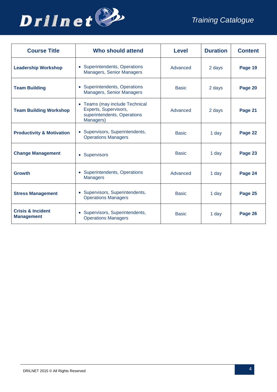

| <b>Course Title</b>                               | <b>Who should attend</b>                                                                            | Level        | <b>Duration</b> | <b>Content</b> |
|---------------------------------------------------|-----------------------------------------------------------------------------------------------------|--------------|-----------------|----------------|
| <b>Leadership Workshop</b>                        | • Superintendents, Operations<br>Managers, Senior Managers                                          | Advanced     | 2 days          | Page 19        |
| <b>Team Building</b>                              | • Superintendents, Operations<br>Managers, Senior Managers                                          | <b>Basic</b> | 2 days          | Page 20        |
| <b>Team Building Workshop</b>                     | • Teams (may include Technical<br>Experts, Supervisors,<br>superintendents, Operations<br>Managers) | Advanced     | 2 days          | Page 21        |
| <b>Productivity &amp; Motivation</b>              | • Supervisors, Superintendents,<br><b>Operations Managers</b>                                       | <b>Basic</b> | 1 day           | Page 22        |
| <b>Change Management</b>                          | • Supervisors                                                                                       | <b>Basic</b> | 1 day           | Page 23        |
| <b>Growth</b>                                     | • Superintendents, Operations<br><b>Managers</b>                                                    | Advanced     | 1 day           | Page 24        |
| <b>Stress Management</b>                          | • Supervisors, Superintendents,<br><b>Operations Managers</b>                                       | <b>Basic</b> | 1 day           | Page 25        |
| <b>Crisis &amp; Incident</b><br><b>Management</b> | • Supervisors, Superintendents,<br><b>Operations Managers</b>                                       | <b>Basic</b> | 1 day           | Page 26        |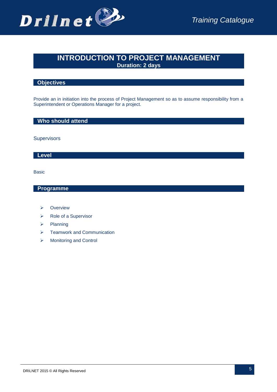

## **INTRODUCTION TO PROJECT MANAGEMENT Duration: 2 days**

#### **Objectives**

Provide an in initiation into the process of Project Management so as to assume responsibility from a Superintendent or Operations Manager for a project.

#### **Who should attend**

**Supervisors** 

#### **Level**

Basic

- **E** Overview
- ▶ Role of a Supervisor
- $\triangleright$  Planning
- $\triangleright$  Teamwork and Communication
- Monitoring and Control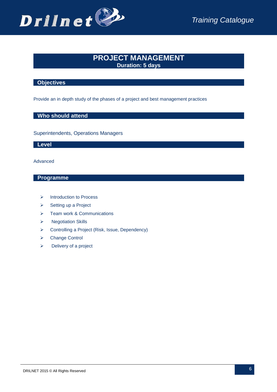

## **PROJECT MANAGEMENT Duration: 5 days**

#### **Objectives**

Provide an in depth study of the phases of a project and best management practices

#### **Who should attend**

Superintendents, Operations Managers

#### **Level**

Advanced

- > Introduction to Process
- $\triangleright$  Setting up a Project
- $\triangleright$  Team work & Communications
- > Negotiation Skills
- Controlling a Project (Risk, Issue, Dependency)
- ▶ Change Control
- $\triangleright$  Delivery of a project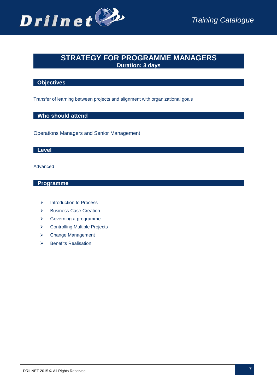

## **STRATEGY FOR PROGRAMME MANAGERS Duration: 3 days**

#### **Objectives**

Transfer of learning between projects and alignment with organizational goals

#### **Who should attend**

Operations Managers and Senior Management

#### **Level**

#### Advanced

- $\triangleright$  Introduction to Process
- $\triangleright$  Business Case Creation
- Governing a programme
- **▶ Controlling Multiple Projects**
- **▶ Change Management**
- $\triangleright$  Benefits Realisation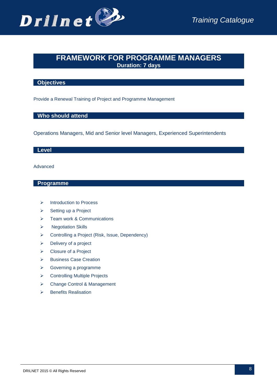

## **FRAMEWORK FOR PROGRAMME MANAGERS Duration: 7 days**

#### **Objectives**

Provide a Renewal Training of Project and Programme Management

#### **Who should attend**

Operations Managers, Mid and Senior level Managers, Experienced Superintendents

#### **Level**

#### Advanced

- $\triangleright$  Introduction to Process
- $\triangleright$  Setting up a Project
- > Team work & Communications
- $\triangleright$  Negotiation Skills
- Controlling a Project (Risk, Issue, Dependency)
- $\triangleright$  Delivery of a project
- Closure of a Project
- > Business Case Creation
- Governing a programme
- **▶ Controlling Multiple Projects**
- Change Control & Management
- $\triangleright$  Benefits Realisation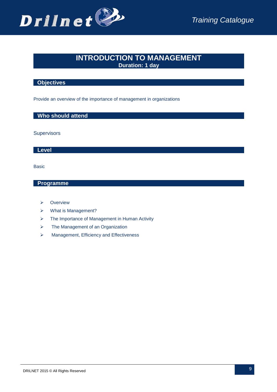

## **INTRODUCTION TO MANAGEMENT Duration: 1 day**

#### **Objectives**

Provide an overview of the importance of management in organizations

#### **Who should attend**

**Supervisors** 

**Level**

Basic

- $\triangleright$  Overview
- What is Management?
- > The Importance of Management in Human Activity
- $\triangleright$  The Management of an Organization
- $\triangleright$  Management, Efficiency and Effectiveness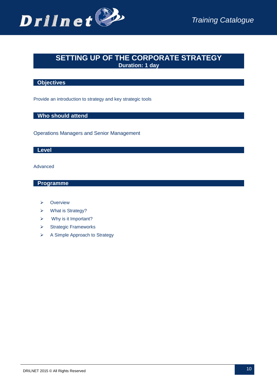

## **SETTING UP OF THE CORPORATE STRATEGY Duration: 1 day**

#### **Objectives**

Provide an introduction to strategy and key strategic tools

#### **Who should attend**

Operations Managers and Senior Management

#### **Level**

#### Advanced

- $\triangleright$  Overview
- What is Strategy?
- $\triangleright$  Why is it Important?
- $\triangleright$  Strategic Frameworks
- **▶ A Simple Approach to Strategy**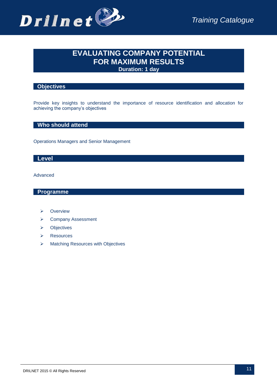

## **EVALUATING COMPANY POTENTIAL FOR MAXIMUM RESULTS Duration: 1 day**

#### **Objectives**

Provide key insights to understand the importance of resource identification and allocation for achieving the company's objectives

#### **Who should attend**

Operations Managers and Senior Management

#### **Level**

#### Advanced

- Overview
- **▶ Company Assessment**
- > Objectives
- **▶ Resources**
- $\triangleright$  Matching Resources with Objectives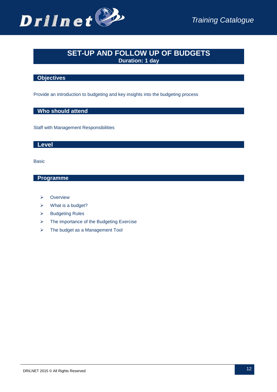

## **SET-UP AND FOLLOW UP OF BUDGETS Duration: 1 day**

#### **Objectives**

Provide an introduction to budgeting and key insights into the budgeting process

#### **Who should attend**

Staff with Management Responsibilities

#### **Level**

Basic

- $\triangleright$  Overview
- $\triangleright$  What is a budget?
- $\triangleright$  Budgeting Rules
- $\triangleright$  The importance of the Budgeting Exercise
- $\triangleright$  The budget as a Management Tool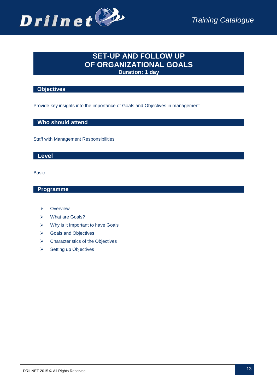

## **SET-UP AND FOLLOW UP OF ORGANIZATIONAL GOALS Duration: 1 day**

#### **Objectives**

Provide key insights into the importance of Goals and Objectives in management

 **Who should attend**

Staff with Management Responsibilities

#### **Level**

Basic

- > Overview
- What are Goals?
- $\triangleright$  Why is it Important to have Goals
- Goals and Objectives
- $\triangleright$  Characteristics of the Objectives
- $\triangleright$  Setting up Objectives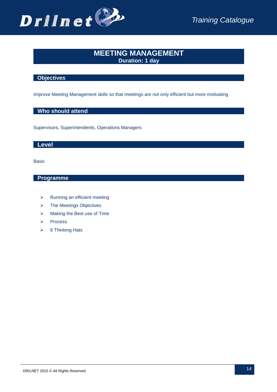

## **MEETING MANAGEMENT Duration: 1 day**

#### **Objectives**

Improve Meeting Management skills so that meetings are not only efficient but more motivating

#### **Who should attend**

Supervisors, Superintendents, Operations Managers

#### **Level**

Basic

- > Running an efficient meeting
- $\triangleright$  The Meetings Objectives
- $\triangleright$  Making the Best use of Time
- $\triangleright$  Process
- $\triangleright$  6 Thinking Hats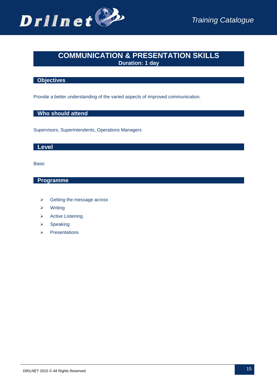

## **COMMUNICATION & PRESENTATION SKILLS Duration: 1 day**

## **Objectives**

Provide a better understanding of the varied aspects of improved communication.

#### **Who should attend**

Supervisors, Superintendents, Operations Managers

#### **Level**

Basic

- $\triangleright$  Getting the message across
- $\triangleright$  Writing
- > Active Listening
- $\triangleright$  Speaking
- $\triangleright$  Presentations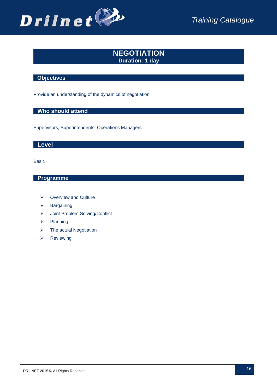

## **NEGOTIATION Duration: 1 day**

#### **Objectives**

Provide an understanding of the dynamics of negotiation.

## **Who should attend**

Supervisors, Superintendents, Operations Managers

#### **Level**

Basic

- **▶ Overview and Culture**
- $\triangleright$  Bargaining
- Joint Problem Solving/Conflict
- $\triangleright$  Planning
- $\triangleright$  The actual Negotiation
- $\triangleright$  Reviewing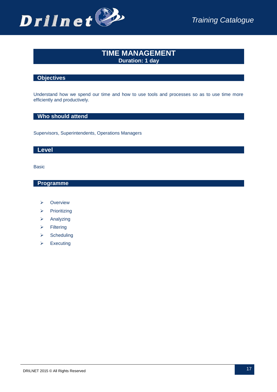

## **TIME MANAGEMENT Duration: 1 day**

#### **Objectives**

Understand how we spend our time and how to use tools and processes so as to use time more efficiently and productively.

#### **Who should attend**

Supervisors, Superintendents, Operations Managers

#### **Level**

Basic

- $\triangleright$  Overview
- $\triangleright$  Prioritizing
- $\triangleright$  Analyzing
- $\triangleright$  Filtering
- $\triangleright$  Scheduling
- $\triangleright$  Executing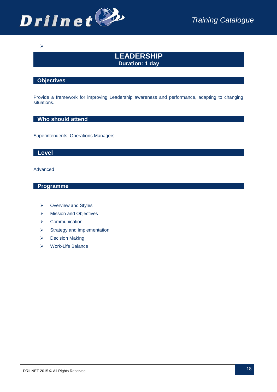

## **LEADERSHIP Duration: 1 day**

#### **Objectives**

 $\blacktriangleright$ 

Provide a framework for improving Leadership awareness and performance, adapting to changing situations.

#### **Who should attend**

Superintendents, Operations Managers

#### **Level**

Advanced

- ▶ Overview and Styles
- > Mission and Objectives
- $\triangleright$  Communication
- $\triangleright$  Strategy and implementation
- Decision Making
- Work-Life Balance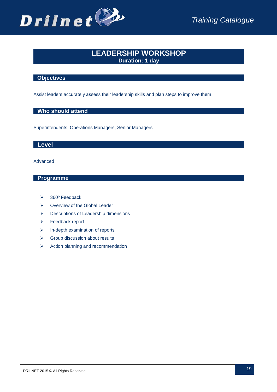

## **LEADERSHIP WORKSHOP Duration: 1 day**

#### **Objectives**

Assist leaders accurately assess their leadership skills and plan steps to improve them.

#### **Who should attend**

Superintendents, Operations Managers, Senior Managers

#### **Level**

Advanced

- $\geq$  360 $^{\circ}$  Feedback
- **▶ Overview of the Global Leader**
- **Descriptions of Leadership dimensions**
- Feedback report
- $\triangleright$  In-depth examination of reports
- $\triangleright$  Group discussion about results
- $\triangleright$  Action planning and recommendation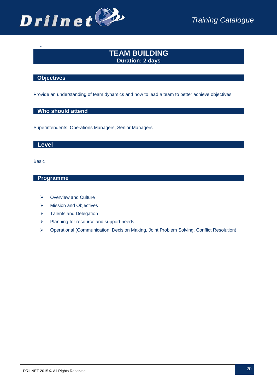

## **TEAM BUILDING Duration: 2 days**

#### **Objectives**

-

Provide an understanding of team dynamics and how to lead a team to better achieve objectives.

#### **Who should attend**

Superintendents, Operations Managers, Senior Managers

#### **Level**

Basic

- $\triangleright$  Overview and Culture
- > Mission and Objectives
- > Talents and Delegation
- Planning for resource and support needs
- Operational (Communication, Decision Making, Joint Problem Solving, Conflict Resolution)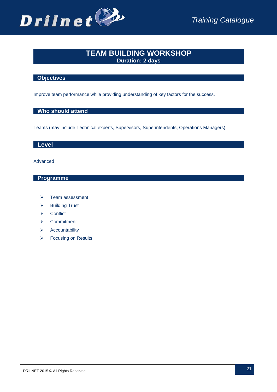

## **TEAM BUILDING WORKSHOP Duration: 2 days**

#### **Objectives**

Improve team performance while providing understanding of key factors for the success.

#### **Who should attend**

Teams (may include Technical experts, Supervisors, Superintendents, Operations Managers)

#### **Level**

Advanced

- > Team assessment
- $\triangleright$  Building Trust
- $\triangleright$  Conflict
- **▶** Commitment
- $\triangleright$  Accountability
- ▶ Focusing on Results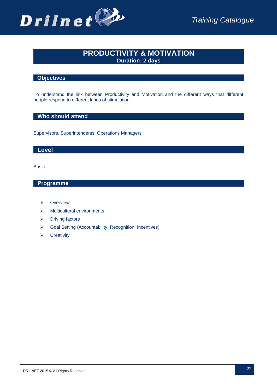

## **PRODUCTIVITY & MOTIVATION Duration: 2 days**

#### **Objectives**

To understand the link between Productivity and Motivation and the different ways that different people respond to different kinds of stimulation.

#### **Who should attend**

Supervisors, Superintendents, Operations Managers

#### **Level**

Basic

- **E** Overview
- $\triangleright$  Multicultural environments
- $\triangleright$  Driving factors
- Goal Setting (Accountability, Recognition, Incentives)
- $\triangleright$  Creativity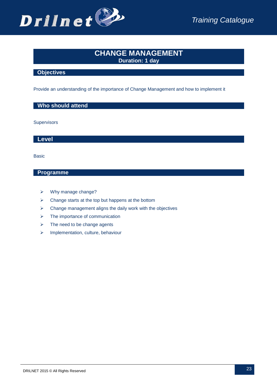

## **CHANGE MANAGEMENT Duration: 1 day**

#### **Objectives**

Provide an understanding of the importance of Change Management and how to implement it

#### **Who should attend**

**Supervisors** 

 **Level**

Basic

- Why manage change?
- $\triangleright$  Change starts at the top but happens at the bottom
- $\triangleright$  Change management aligns the daily work with the objectives
- $\triangleright$  The importance of communication
- $\triangleright$  The need to be change agents
- $\triangleright$  Implementation, culture, behaviour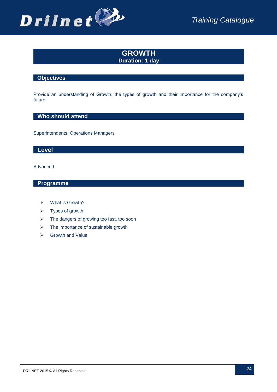

## **GROWTH Duration: 1 day**

#### **Objectives**

Provide an understanding of Growth, the types of growth and their importance for the company's future

#### **Who should attend**

Superintendents, Operations Managers

#### **Level**

#### Advanced

- What is Growth?
- $\triangleright$  Types of growth
- $\triangleright$  The dangers of growing too fast, too soon
- $\triangleright$  The importance of sustainable growth
- $\triangleright$  Growth and Value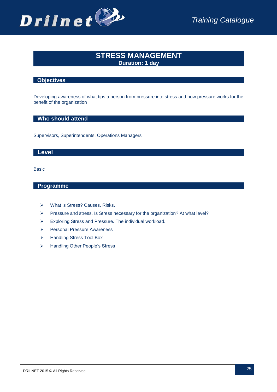

## **STRESS MANAGEMENT Duration: 1 day**

#### **Objectives**

Developing awareness of what tips a person from pressure into stress and how pressure works for the benefit of the organization

#### **Who should attend**

Supervisors, Superintendents, Operations Managers

#### **Level**

Basic

- What is Stress? Causes. Risks.
- Pressure and stress. Is Stress necessary for the organization? At what level?
- Exploring Stress and Pressure. The individual workload.
- Personal Pressure Awareness
- > Handling Stress Tool Box
- > Handling Other People's Stress